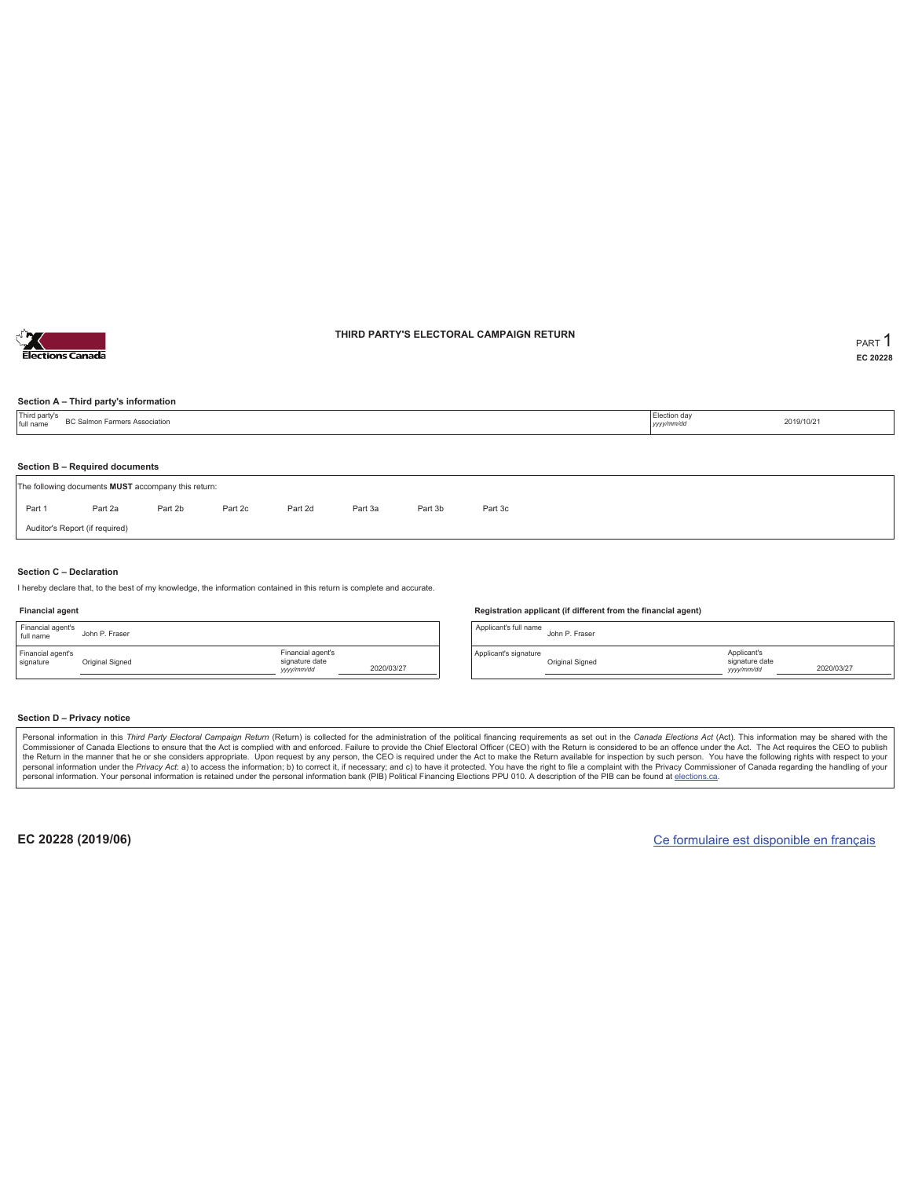

### **THIRD PARTY'S ELECTORAL CAMPAIGN RETURN PART** 1

**EC 20228**

### **Section A – Third party's information**

| Third party's<br>full name | BC Salmon Farmers Association                                                         |  |  |  |  |  |  |  |  | 2019/10/21 |  |  |
|----------------------------|---------------------------------------------------------------------------------------|--|--|--|--|--|--|--|--|------------|--|--|
|                            |                                                                                       |  |  |  |  |  |  |  |  |            |  |  |
|                            | Section B - Required documents<br>The following documents MUST accompany this return: |  |  |  |  |  |  |  |  |            |  |  |
| Part 1                     | Part 2b<br>Part 2d<br>Part 2c<br>Part 3b<br>Part 2a<br>Part 3a<br>Part 3c             |  |  |  |  |  |  |  |  |            |  |  |
|                            | Auditor's Report (if required)                                                        |  |  |  |  |  |  |  |  |            |  |  |

### **Section C – Declaration**

I hereby declare that, to the best of my knowledge, the information contained in this return is complete and accurate.

### **Financial agent**

| Financial agent's<br>full name | John P. Fraser  |                                                  |            |
|--------------------------------|-----------------|--------------------------------------------------|------------|
| Financial agent's<br>signature | Original Signed | Financial agent's<br>signature date<br>yyy/mm/dd | 2020/03/27 |

#### **Registration applicant (if different from the financial agent)**

Applicant's full name John P. Fraser Applicant's signature Original Signed Applicant's signature date *yyyy/mm/dd* 2020/03/27

### **Section D – Privacy notice**

Personal information in this Third Party Electoral Campaign Return (Return) is collected for the administration of the political financing requirements as set out in the Canada Elections Act (Act). This information may be Commissioner of Canada Elections to ensure that the Act is complied with and enforced. Failure to provide the Chief Electoral Officer (CEO) with the Return is considered to be an offence under the Act. The Act requires the personal information. Your personal information is retained under the personal information bank (PIB) Political Financing Elections PPU 010. A description of the PIB can be found at elections.ca.

**EC 20228 (2019/06)** Ce formulaire est disponible en français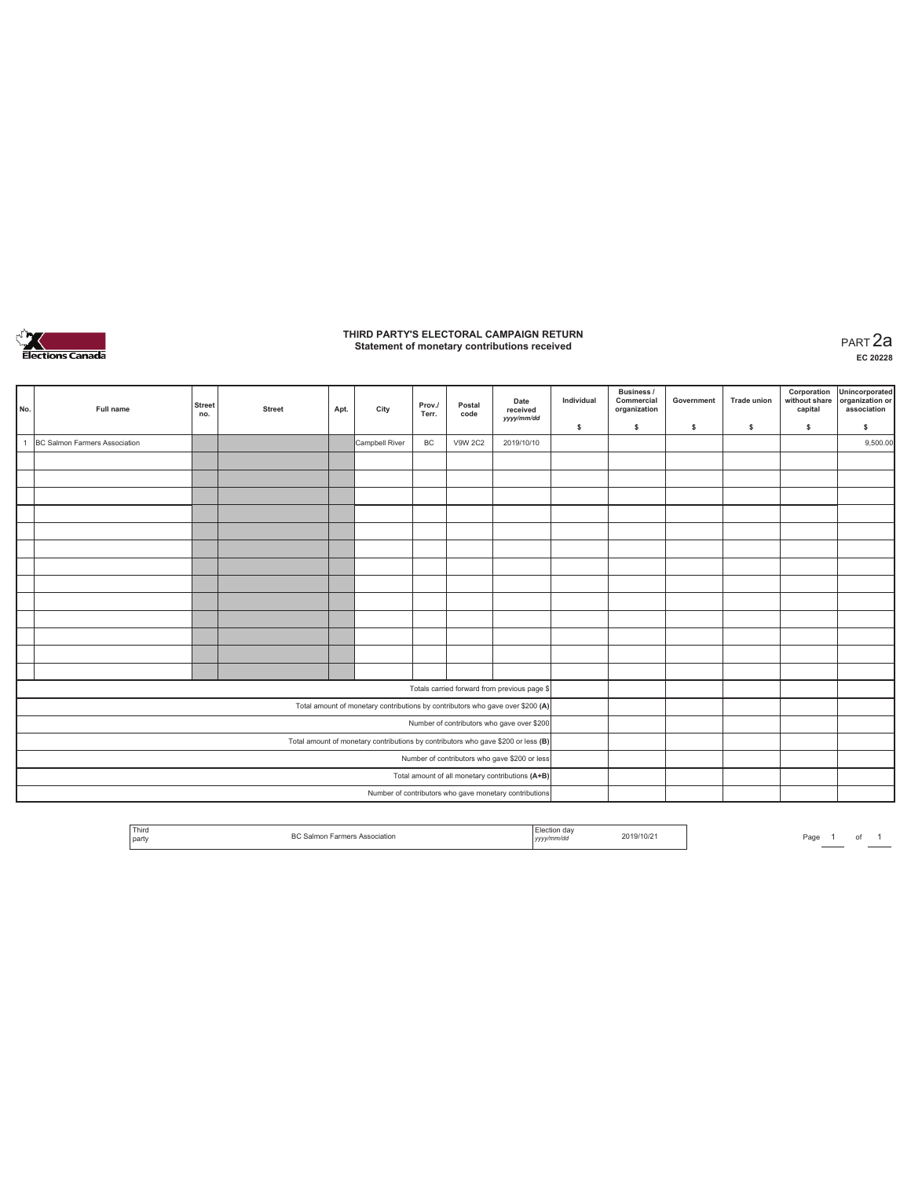

# **THIRD PARTY'S ELECTORAL CAMPAIGN RETURN Statement of monetary contributions received** PART 2a

| No.          | Full name                                     | <b>Street</b><br>no. | <b>Street</b> | Apt. | City           | Prov./<br>Terr. | Postal<br>code | Date<br>received<br>yyyy/mm/dd                                                    | Individual | <b>Business /</b><br>Commercial<br>organization | Government | <b>Trade union</b> | Corporation<br>without share<br>capital | Unincorporated<br>organization or<br>association |
|--------------|-----------------------------------------------|----------------------|---------------|------|----------------|-----------------|----------------|-----------------------------------------------------------------------------------|------------|-------------------------------------------------|------------|--------------------|-----------------------------------------|--------------------------------------------------|
|              |                                               |                      |               |      |                |                 |                |                                                                                   | \$         | \$                                              | \$         | $\mathbb S$        | \$                                      | \$                                               |
| $\mathbf{1}$ | BC Salmon Farmers Association                 |                      |               |      | Campbell River | BC              | <b>V9W 2C2</b> | 2019/10/10                                                                        |            |                                                 |            |                    |                                         | 9,500.00                                         |
|              |                                               |                      |               |      |                |                 |                |                                                                                   |            |                                                 |            |                    |                                         |                                                  |
|              |                                               |                      |               |      |                |                 |                |                                                                                   |            |                                                 |            |                    |                                         |                                                  |
|              |                                               |                      |               |      |                |                 |                |                                                                                   |            |                                                 |            |                    |                                         |                                                  |
|              |                                               |                      |               |      |                |                 |                |                                                                                   |            |                                                 |            |                    |                                         |                                                  |
|              |                                               |                      |               |      |                |                 |                |                                                                                   |            |                                                 |            |                    |                                         |                                                  |
|              |                                               |                      |               |      |                |                 |                |                                                                                   |            |                                                 |            |                    |                                         |                                                  |
|              |                                               |                      |               |      |                |                 |                |                                                                                   |            |                                                 |            |                    |                                         |                                                  |
|              |                                               |                      |               |      |                |                 |                |                                                                                   |            |                                                 |            |                    |                                         |                                                  |
|              |                                               |                      |               |      |                |                 |                |                                                                                   |            |                                                 |            |                    |                                         |                                                  |
|              |                                               |                      |               |      |                |                 |                |                                                                                   |            |                                                 |            |                    |                                         |                                                  |
|              |                                               |                      |               |      |                |                 |                |                                                                                   |            |                                                 |            |                    |                                         |                                                  |
|              |                                               |                      |               |      |                |                 |                |                                                                                   |            |                                                 |            |                    |                                         |                                                  |
|              |                                               |                      |               |      |                |                 |                |                                                                                   |            |                                                 |            |                    |                                         |                                                  |
|              |                                               |                      |               |      |                |                 |                | Totals carried forward from previous page \$                                      |            |                                                 |            |                    |                                         |                                                  |
|              |                                               |                      |               |      |                |                 |                | Total amount of monetary contributions by contributors who gave over \$200 (A)    |            |                                                 |            |                    |                                         |                                                  |
|              |                                               |                      |               |      |                |                 |                | Number of contributors who gave over \$200                                        |            |                                                 |            |                    |                                         |                                                  |
|              |                                               |                      |               |      |                |                 |                | Total amount of monetary contributions by contributors who gave \$200 or less (B) |            |                                                 |            |                    |                                         |                                                  |
|              | Number of contributors who gave \$200 or less |                      |               |      |                |                 |                |                                                                                   |            |                                                 |            |                    |                                         |                                                  |
|              |                                               |                      |               |      |                |                 |                | Total amount of all monetary contributions (A+B)                                  |            |                                                 |            |                    |                                         |                                                  |
|              |                                               |                      |               |      |                |                 |                | Number of contributors who gave monetary contributions                            |            |                                                 |            |                    |                                         |                                                  |

|  |  | <sup>I</sup> Third<br><b>STATE OF BUILDING</b><br>party | DC Colmo | .<br>,,,,<br> | 2019/10/ | Page |  |  |  |
|--|--|---------------------------------------------------------|----------|---------------|----------|------|--|--|--|
|--|--|---------------------------------------------------------|----------|---------------|----------|------|--|--|--|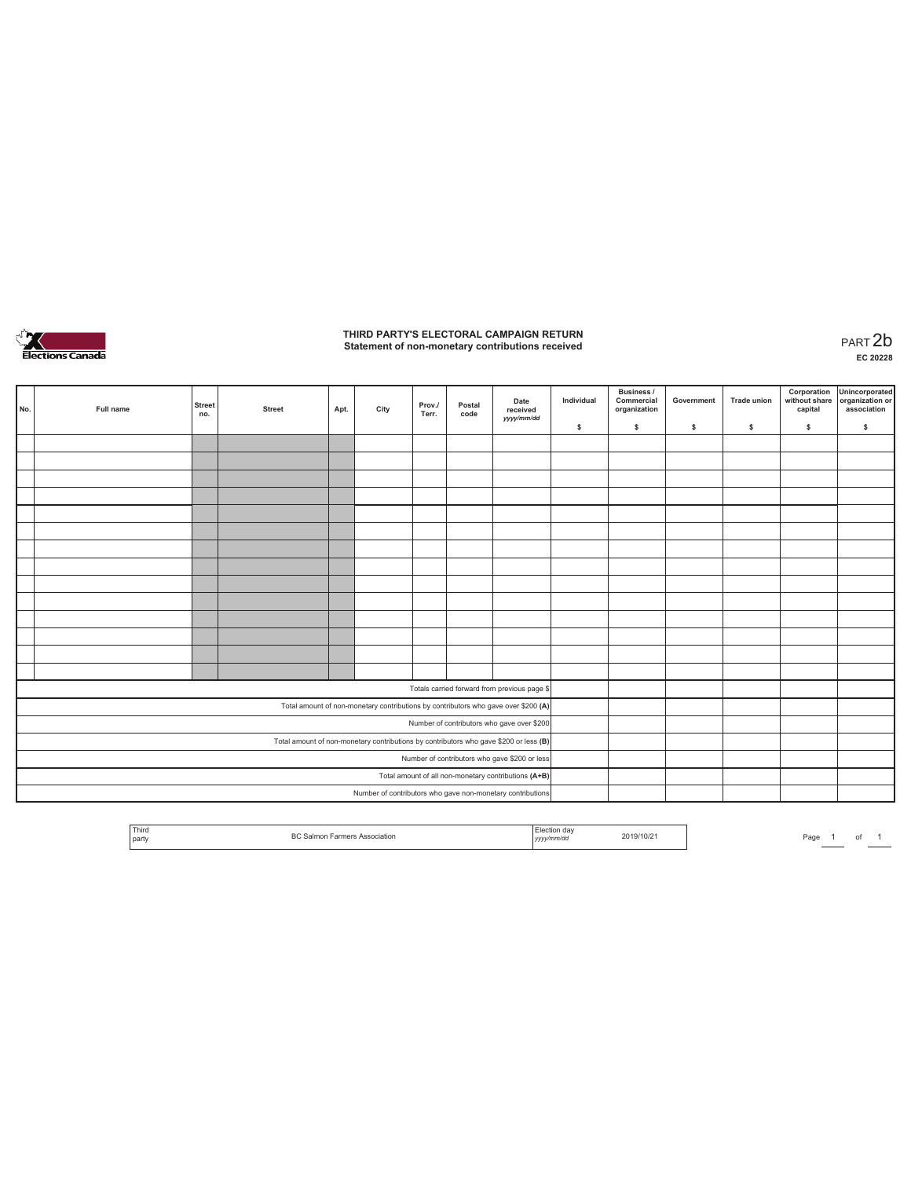

# **THIRD PARTY'S ELECTORAL CAMPAIGN RETURN Statement of non-monetary contributions received** PART 2b

| No. | Full name                                            | <b>Street</b><br>no. | <b>Street</b> | Apt. | City | Prov./<br>Terr. | Postal<br>code | Date<br>received<br>yyyy/mm/dd                                                        | Individual<br>\$ | <b>Business /</b><br>Commercial<br>organization<br>s. | Government<br>s | <b>Trade union</b><br>s | Corporation<br>\$ | Unincorporated<br>without share organization or<br>capital association<br>\$ |
|-----|------------------------------------------------------|----------------------|---------------|------|------|-----------------|----------------|---------------------------------------------------------------------------------------|------------------|-------------------------------------------------------|-----------------|-------------------------|-------------------|------------------------------------------------------------------------------|
|     |                                                      |                      |               |      |      |                 |                |                                                                                       |                  |                                                       |                 |                         |                   |                                                                              |
|     |                                                      |                      |               |      |      |                 |                |                                                                                       |                  |                                                       |                 |                         |                   |                                                                              |
|     |                                                      |                      |               |      |      |                 |                |                                                                                       |                  |                                                       |                 |                         |                   |                                                                              |
|     |                                                      |                      |               |      |      |                 |                |                                                                                       |                  |                                                       |                 |                         |                   |                                                                              |
|     |                                                      |                      |               |      |      |                 |                |                                                                                       |                  |                                                       |                 |                         |                   |                                                                              |
|     |                                                      |                      |               |      |      |                 |                |                                                                                       |                  |                                                       |                 |                         |                   |                                                                              |
|     |                                                      |                      |               |      |      |                 |                |                                                                                       |                  |                                                       |                 |                         |                   |                                                                              |
|     |                                                      |                      |               |      |      |                 |                |                                                                                       |                  |                                                       |                 |                         |                   |                                                                              |
|     |                                                      |                      |               |      |      |                 |                |                                                                                       |                  |                                                       |                 |                         |                   |                                                                              |
|     |                                                      |                      |               |      |      |                 |                |                                                                                       |                  |                                                       |                 |                         |                   |                                                                              |
|     |                                                      |                      |               |      |      |                 |                |                                                                                       |                  |                                                       |                 |                         |                   |                                                                              |
|     |                                                      |                      |               |      |      |                 |                |                                                                                       |                  |                                                       |                 |                         |                   |                                                                              |
|     |                                                      |                      |               |      |      |                 |                |                                                                                       |                  |                                                       |                 |                         |                   |                                                                              |
|     |                                                      |                      |               |      |      |                 |                |                                                                                       |                  |                                                       |                 |                         |                   |                                                                              |
|     |                                                      |                      |               |      |      |                 |                |                                                                                       |                  |                                                       |                 |                         |                   |                                                                              |
|     |                                                      |                      |               |      |      |                 |                | Totals carried forward from previous page \$                                          |                  |                                                       |                 |                         |                   |                                                                              |
|     |                                                      |                      |               |      |      |                 |                | Total amount of non-monetary contributions by contributors who gave over \$200 (A)    |                  |                                                       |                 |                         |                   |                                                                              |
|     |                                                      |                      |               |      |      |                 |                | Number of contributors who gave over \$200                                            |                  |                                                       |                 |                         |                   |                                                                              |
|     |                                                      |                      |               |      |      |                 |                | Total amount of non-monetary contributions by contributors who gave \$200 or less (B) |                  |                                                       |                 |                         |                   |                                                                              |
|     | Number of contributors who gave \$200 or less        |                      |               |      |      |                 |                |                                                                                       |                  |                                                       |                 |                         |                   |                                                                              |
|     | Total amount of all non-monetary contributions (A+B) |                      |               |      |      |                 |                |                                                                                       |                  |                                                       |                 |                         |                   |                                                                              |
|     |                                                      |                      |               |      |      |                 |                | Number of contributors who gave non-monetary contributions                            |                  |                                                       |                 |                         |                   |                                                                              |

|  | Third<br>the contract of the con-<br>' party | $n \wedge$<br>\ssociation |  | 119/10/2 | Pag |  | n |  |
|--|----------------------------------------------|---------------------------|--|----------|-----|--|---|--|
|--|----------------------------------------------|---------------------------|--|----------|-----|--|---|--|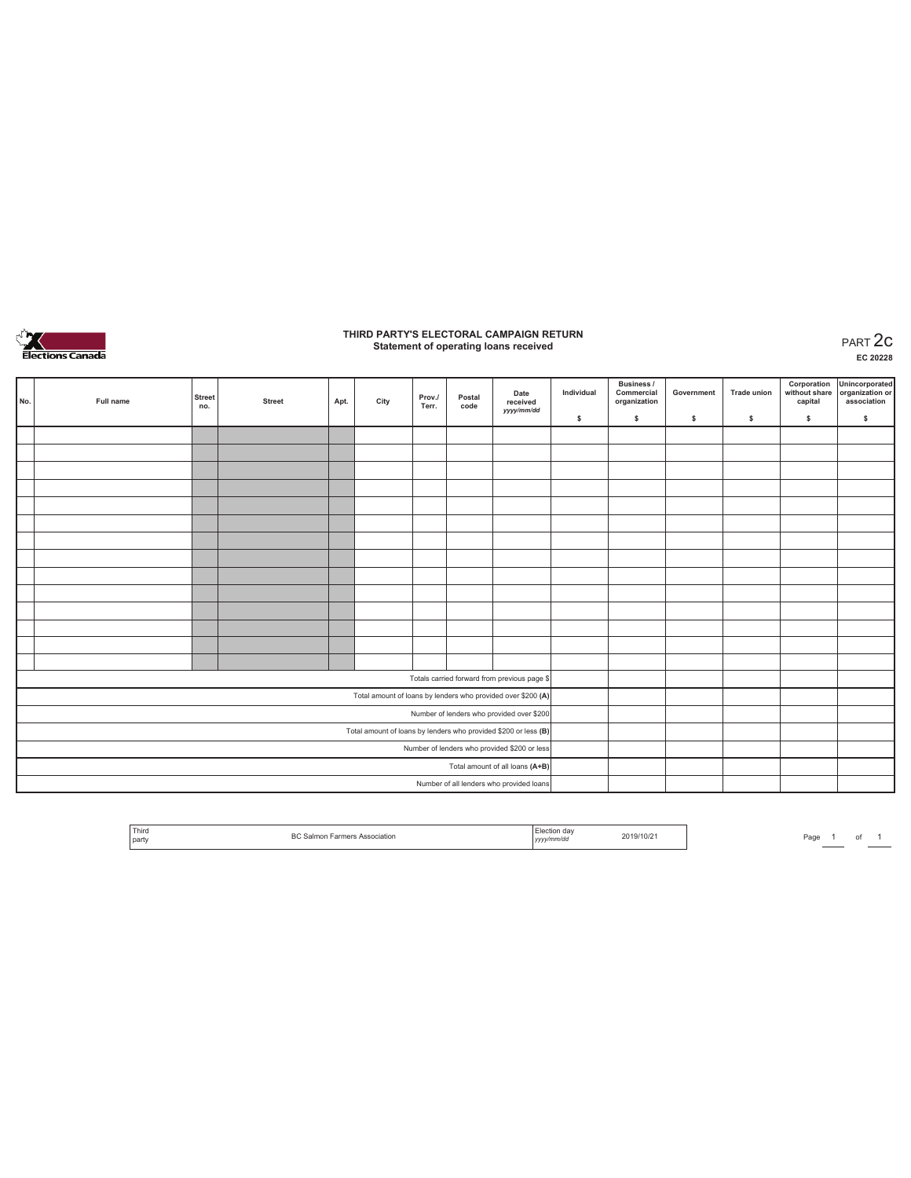

# **THIRD PARTY'S ELECTORAL CAMPAIGN RETURN Statement of operating loans received** PART 2c

**EC 20228**

| No. | Full name | <b>Street</b><br>no. | <b>Street</b> | Apt. | City | Prov./<br>Terr. | Postal<br>code | Date<br>received<br>yyyy/mm/dd                                  | Individual | <b>Business /</b><br>Commercial<br>organization | Government | <b>Trade union</b> | Corporation<br>without share<br>capital | Unincorporated<br>organization or<br>association |
|-----|-----------|----------------------|---------------|------|------|-----------------|----------------|-----------------------------------------------------------------|------------|-------------------------------------------------|------------|--------------------|-----------------------------------------|--------------------------------------------------|
|     |           |                      |               |      |      |                 |                |                                                                 | \$         | \$.                                             | \$         | s                  | \$                                      | $\mathbb S$                                      |
|     |           |                      |               |      |      |                 |                |                                                                 |            |                                                 |            |                    |                                         |                                                  |
|     |           |                      |               |      |      |                 |                |                                                                 |            |                                                 |            |                    |                                         |                                                  |
|     |           |                      |               |      |      |                 |                |                                                                 |            |                                                 |            |                    |                                         |                                                  |
|     |           |                      |               |      |      |                 |                |                                                                 |            |                                                 |            |                    |                                         |                                                  |
|     |           |                      |               |      |      |                 |                |                                                                 |            |                                                 |            |                    |                                         |                                                  |
|     |           |                      |               |      |      |                 |                |                                                                 |            |                                                 |            |                    |                                         |                                                  |
|     |           |                      |               |      |      |                 |                |                                                                 |            |                                                 |            |                    |                                         |                                                  |
|     |           |                      |               |      |      |                 |                |                                                                 |            |                                                 |            |                    |                                         |                                                  |
|     |           |                      |               |      |      |                 |                |                                                                 |            |                                                 |            |                    |                                         |                                                  |
|     |           |                      |               |      |      |                 |                |                                                                 |            |                                                 |            |                    |                                         |                                                  |
|     |           |                      |               |      |      |                 |                |                                                                 |            |                                                 |            |                    |                                         |                                                  |
|     |           |                      |               |      |      |                 |                |                                                                 |            |                                                 |            |                    |                                         |                                                  |
|     |           |                      |               |      |      |                 |                |                                                                 |            |                                                 |            |                    |                                         |                                                  |
|     |           |                      |               |      |      |                 |                |                                                                 |            |                                                 |            |                    |                                         |                                                  |
|     |           |                      |               |      |      |                 |                | Totals carried forward from previous page \$                    |            |                                                 |            |                    |                                         |                                                  |
|     |           |                      |               |      |      |                 |                | Total amount of loans by lenders who provided over \$200 (A)    |            |                                                 |            |                    |                                         |                                                  |
|     |           |                      |               |      |      |                 |                | Number of lenders who provided over \$200                       |            |                                                 |            |                    |                                         |                                                  |
|     |           |                      |               |      |      |                 |                | Total amount of loans by lenders who provided \$200 or less (B) |            |                                                 |            |                    |                                         |                                                  |
|     |           |                      |               |      |      |                 |                | Number of lenders who provided \$200 or less                    |            |                                                 |            |                    |                                         |                                                  |
|     |           |                      |               |      |      |                 |                | Total amount of all loans (A+B)                                 |            |                                                 |            |                    |                                         |                                                  |
|     |           |                      |               |      |      |                 |                | Number of all lenders who provided loans                        |            |                                                 |            |                    |                                         |                                                  |

| ∟lection da∨<br>2019/10/21<br>BC<br>ssociation<br>Farmers<br>Salmon<br>$\Delta$ c<br>:vv/mm/da<br>,,,,, |
|---------------------------------------------------------------------------------------------------------|
|---------------------------------------------------------------------------------------------------------|

Page  $1$  of  $1$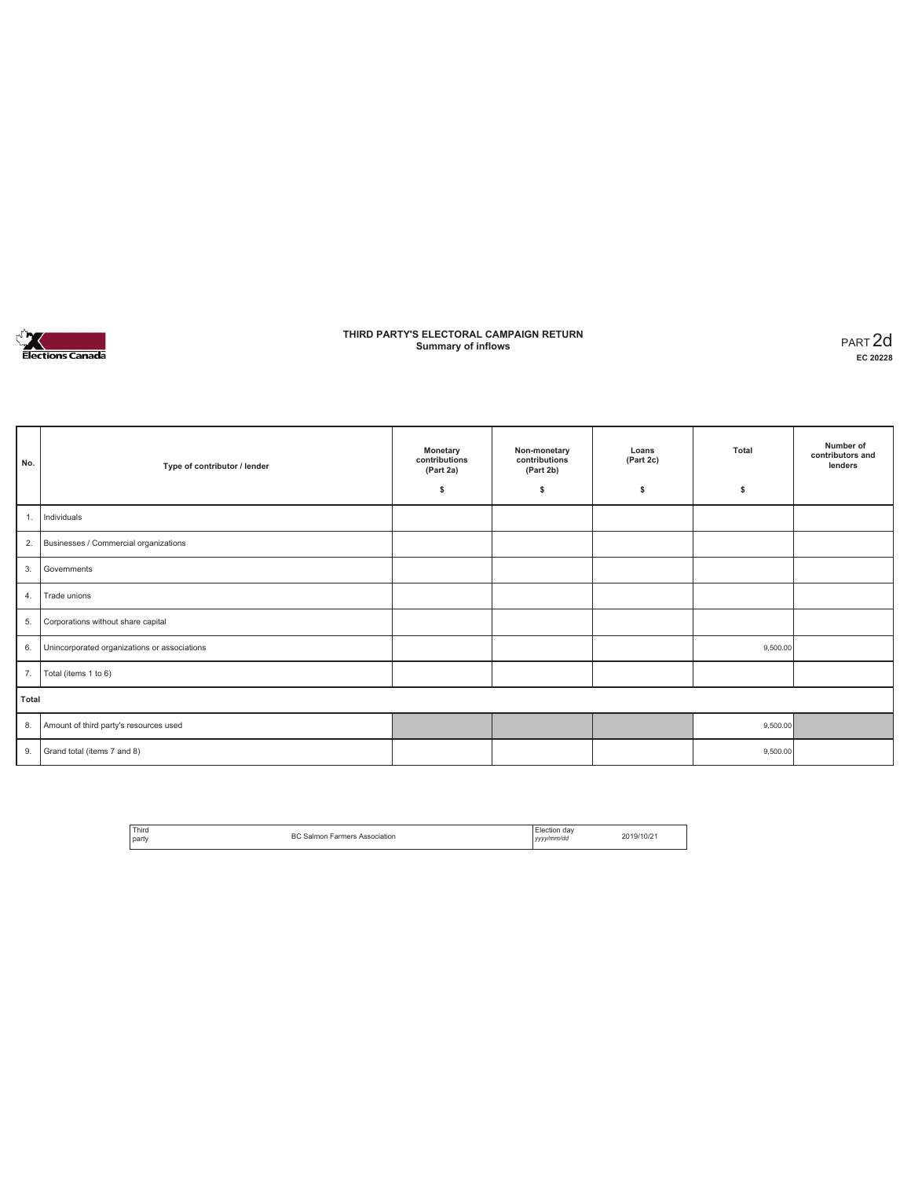

### **THIRD PARTY'S ELECTORAL CAMPAIGN RETURN Summary of inflows** PART 2d

| No.   | Type of contributor / lender                 | Monetary<br>contributions<br>(Part 2a)<br>\$ | Non-monetary<br>contributions<br>(Part 2b)<br>\$ | Loans<br>(Part 2c)<br>s | Total<br>\$ | Number of<br>contributors and<br>lenders |
|-------|----------------------------------------------|----------------------------------------------|--------------------------------------------------|-------------------------|-------------|------------------------------------------|
| 1.    | Individuals                                  |                                              |                                                  |                         |             |                                          |
| 2.    | Businesses / Commercial organizations        |                                              |                                                  |                         |             |                                          |
| 3.    | Governments                                  |                                              |                                                  |                         |             |                                          |
| 4.    | Trade unions                                 |                                              |                                                  |                         |             |                                          |
| 5.    | Corporations without share capital           |                                              |                                                  |                         |             |                                          |
| 6.    | Unincorporated organizations or associations |                                              |                                                  |                         | 9,500.00    |                                          |
| 7.    | Total (items 1 to 6)                         |                                              |                                                  |                         |             |                                          |
| Total |                                              |                                              |                                                  |                         |             |                                          |
| 8.    | Amount of third party's resources used       |                                              |                                                  |                         | 9,500.00    |                                          |
| 9.    | Grand total (items 7 and 8)                  |                                              |                                                  |                         | 9,500.00    |                                          |

| Third<br><b>Darty</b> | <b>BC Salmon Farmers Association</b> | Election day<br>yyyy/mm/dd | 2019/10/21 |
|-----------------------|--------------------------------------|----------------------------|------------|
|                       |                                      |                            |            |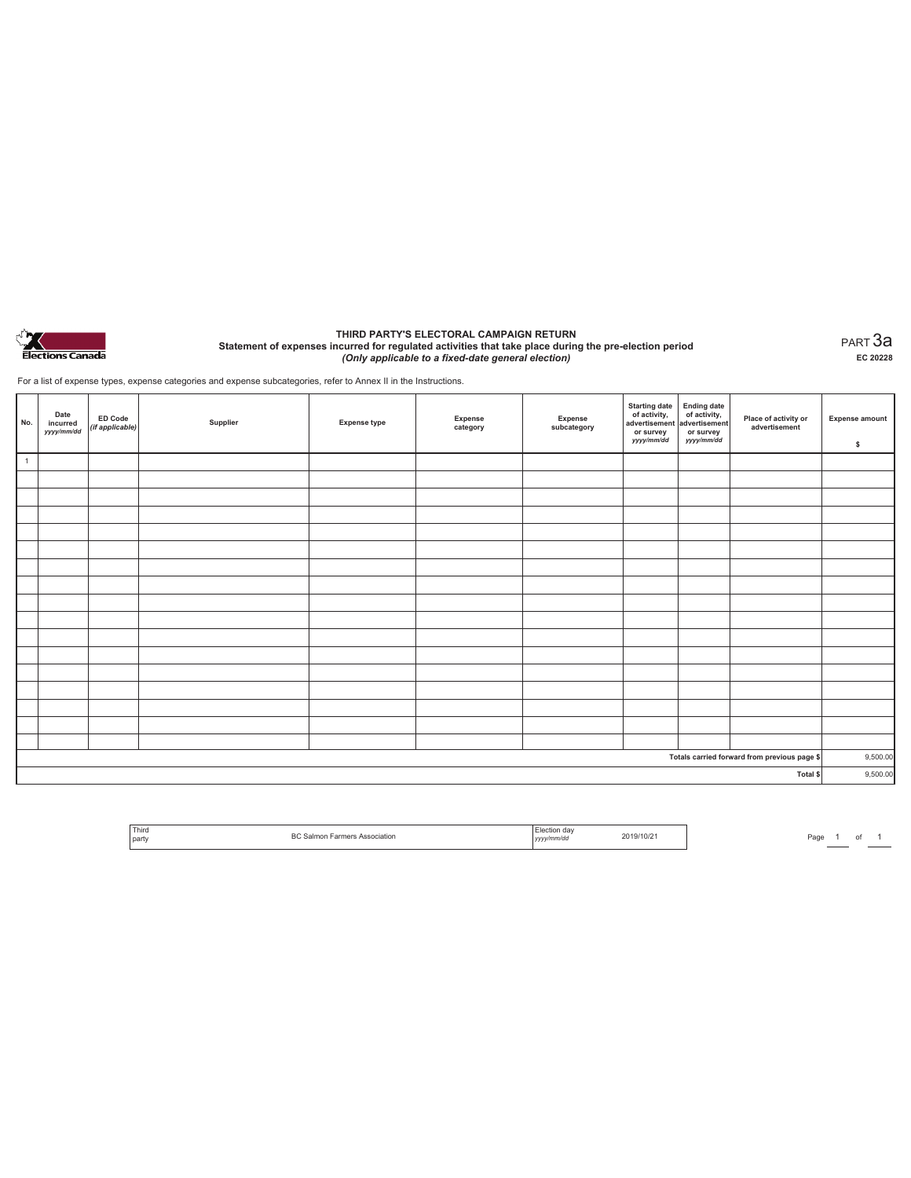

#### **THIRD PARTY'S ELECTORAL CAMPAIGN RETURN Statement of expenses incurred for regulated activities that take place during the pre-election period**  *(Only applicable to a fixed-date general election)*

PART 3a **EC 20228**

For a list of expense types, expense categories and expense subcategories, refer to Annex II in the Instructions.

| No.            | Date<br>incurred<br>yyyy/mm/dd | <b>ED Code</b><br>(if applicable) | Supplier | <b>Expense type</b> | Expense<br>category | Expense<br>subcategory | <b>Starting date</b><br>of activity,<br>advertisement<br>or survey<br>yyyy/mm/dd | Ending date<br>of activity,<br>advertisement<br>or survey<br>yyyy/mm/dd | Place of activity or<br>advertisement        | <b>Expense amount</b><br>\$ |
|----------------|--------------------------------|-----------------------------------|----------|---------------------|---------------------|------------------------|----------------------------------------------------------------------------------|-------------------------------------------------------------------------|----------------------------------------------|-----------------------------|
| $\overline{1}$ |                                |                                   |          |                     |                     |                        |                                                                                  |                                                                         |                                              |                             |
|                |                                |                                   |          |                     |                     |                        |                                                                                  |                                                                         |                                              |                             |
|                |                                |                                   |          |                     |                     |                        |                                                                                  |                                                                         |                                              |                             |
|                |                                |                                   |          |                     |                     |                        |                                                                                  |                                                                         |                                              |                             |
|                |                                |                                   |          |                     |                     |                        |                                                                                  |                                                                         |                                              |                             |
|                |                                |                                   |          |                     |                     |                        |                                                                                  |                                                                         |                                              |                             |
|                |                                |                                   |          |                     |                     |                        |                                                                                  |                                                                         |                                              |                             |
|                |                                |                                   |          |                     |                     |                        |                                                                                  |                                                                         |                                              |                             |
|                |                                |                                   |          |                     |                     |                        |                                                                                  |                                                                         |                                              |                             |
|                |                                |                                   |          |                     |                     |                        |                                                                                  |                                                                         |                                              |                             |
|                |                                |                                   |          |                     |                     |                        |                                                                                  |                                                                         |                                              |                             |
|                |                                |                                   |          |                     |                     |                        |                                                                                  |                                                                         |                                              |                             |
|                |                                |                                   |          |                     |                     |                        |                                                                                  |                                                                         |                                              |                             |
|                |                                |                                   |          |                     |                     |                        |                                                                                  |                                                                         |                                              |                             |
|                |                                |                                   |          |                     |                     |                        |                                                                                  |                                                                         |                                              |                             |
|                |                                |                                   |          |                     |                     |                        |                                                                                  |                                                                         |                                              |                             |
|                |                                |                                   |          |                     |                     |                        |                                                                                  |                                                                         |                                              |                             |
|                |                                |                                   |          |                     |                     |                        |                                                                                  |                                                                         | Totals carried forward from previous page \$ | 9,500.00                    |
| Total \$       |                                |                                   |          |                     |                     |                        |                                                                                  |                                                                         |                                              | 9,500.00                    |

| Third |                           | dav<br>н э |         |
|-------|---------------------------|------------|---------|
| party | PC.<br>∷iation<br>DТ<br>. | nm/da      | 49/10/2 |

Page 1 of 1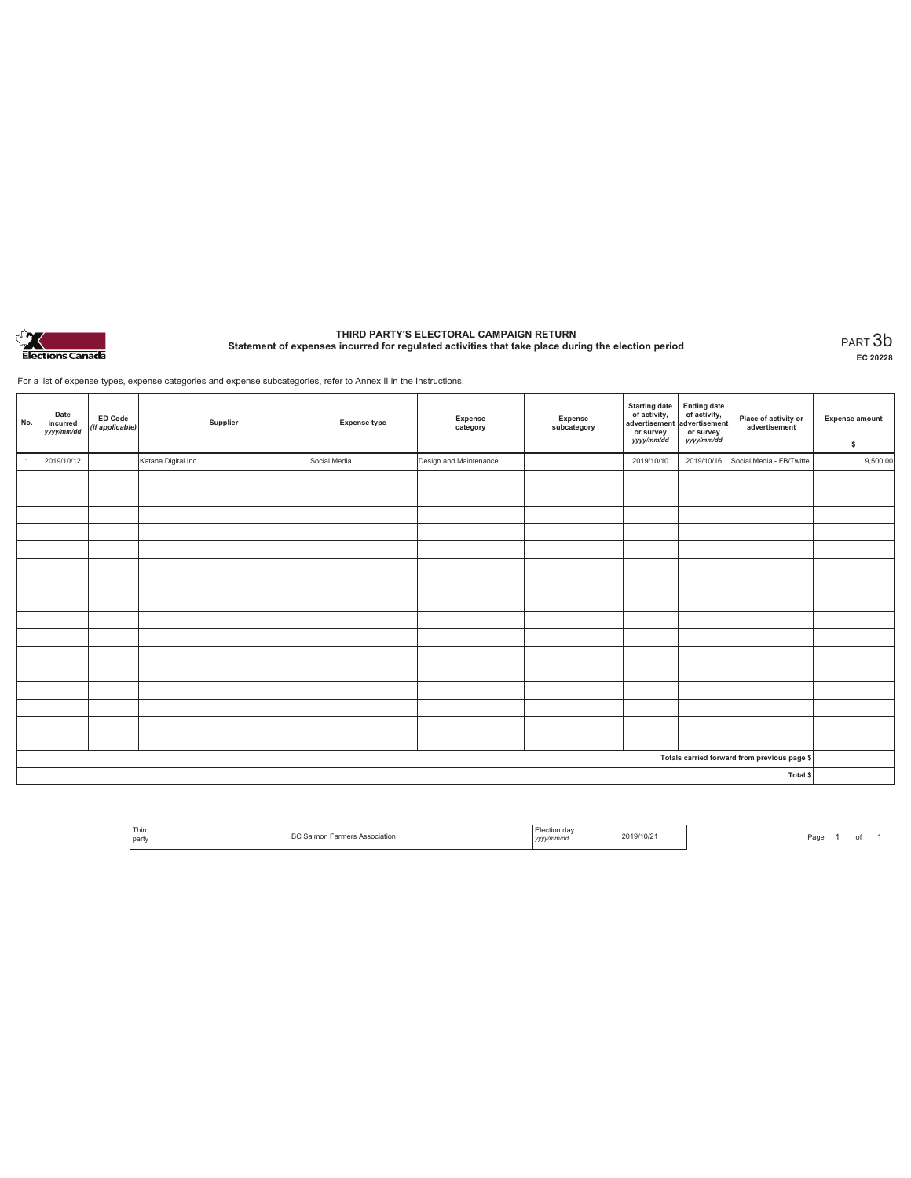

# **THIRD PARTY'S ELECTORAL CAMPAIGN RETURN Statement of expenses incurred for regulated activities that take place during the election period** PART 3b

**EC 20228**

For a list of expense types, expense categories and expense subcategories, refer to Annex II in the Instructions.

| No.          | Date<br>incurred<br>yyyy/mm/dd               | ED Code<br>(if applicable) | Supplier            | <b>Expense type</b> | Expense<br>category    | Expense<br>subcategory | <b>Starting date</b><br>of activity,<br>advertisement<br>or survey<br>yyyy/mm/dd | <b>Ending date</b><br>of activity,<br>advertisement<br>or survey<br>yyyy/mm/dd | Place of activity or<br>advertisement | <b>Expense amount</b><br>\$ |
|--------------|----------------------------------------------|----------------------------|---------------------|---------------------|------------------------|------------------------|----------------------------------------------------------------------------------|--------------------------------------------------------------------------------|---------------------------------------|-----------------------------|
| $\mathbf{1}$ | 2019/10/12                                   |                            | Katana Digital Inc. | Social Media        | Design and Maintenance |                        | 2019/10/10                                                                       | 2019/10/16                                                                     | Social Media - FB/Twitte              | 9,500.00                    |
|              |                                              |                            |                     |                     |                        |                        |                                                                                  |                                                                                |                                       |                             |
|              |                                              |                            |                     |                     |                        |                        |                                                                                  |                                                                                |                                       |                             |
|              |                                              |                            |                     |                     |                        |                        |                                                                                  |                                                                                |                                       |                             |
|              |                                              |                            |                     |                     |                        |                        |                                                                                  |                                                                                |                                       |                             |
|              |                                              |                            |                     |                     |                        |                        |                                                                                  |                                                                                |                                       |                             |
|              |                                              |                            |                     |                     |                        |                        |                                                                                  |                                                                                |                                       |                             |
|              |                                              |                            |                     |                     |                        |                        |                                                                                  |                                                                                |                                       |                             |
|              |                                              |                            |                     |                     |                        |                        |                                                                                  |                                                                                |                                       |                             |
|              |                                              |                            |                     |                     |                        |                        |                                                                                  |                                                                                |                                       |                             |
|              |                                              |                            |                     |                     |                        |                        |                                                                                  |                                                                                |                                       |                             |
|              |                                              |                            |                     |                     |                        |                        |                                                                                  |                                                                                |                                       |                             |
|              |                                              |                            |                     |                     |                        |                        |                                                                                  |                                                                                |                                       |                             |
|              |                                              |                            |                     |                     |                        |                        |                                                                                  |                                                                                |                                       |                             |
|              |                                              |                            |                     |                     |                        |                        |                                                                                  |                                                                                |                                       |                             |
|              |                                              |                            |                     |                     |                        |                        |                                                                                  |                                                                                |                                       |                             |
|              |                                              |                            |                     |                     |                        |                        |                                                                                  |                                                                                |                                       |                             |
|              | Totals carried forward from previous page \$ |                            |                     |                     |                        |                        |                                                                                  |                                                                                |                                       |                             |
| Total \$     |                                              |                            |                     |                     |                        |                        |                                                                                  |                                                                                |                                       |                             |

| <sup>1</sup> Third<br>l party | ВC<br>Farmers Association<br>Salmon | ı dav<br>lection<br>yyyy/mm/do | 2019/10/2 |
|-------------------------------|-------------------------------------|--------------------------------|-----------|
|                               |                                     |                                |           |

Page  $1$  of  $1$